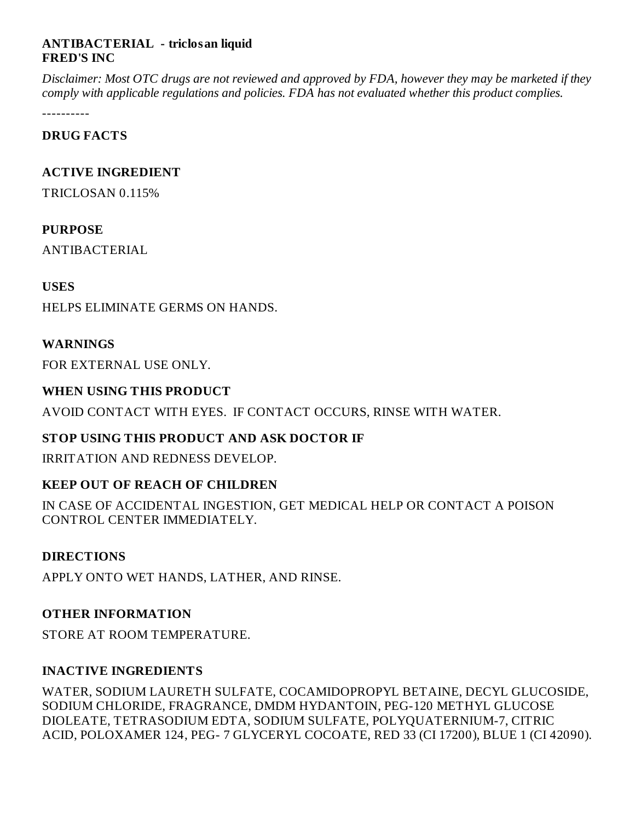## **ANTIBACTERIAL - triclosan liquid FRED'S INC**

Disclaimer: Most OTC drugs are not reviewed and approved by FDA, however they may be marketed if they *comply with applicable regulations and policies. FDA has not evaluated whether this product complies.*

----------

#### **DRUG FACTS**

## **ACTIVE INGREDIENT**

TRICLOSAN 0.115%

#### **PURPOSE**

ANTIBACTERIAL

#### **USES**

HELPS ELIMINATE GERMS ON HANDS.

#### **WARNINGS**

FOR EXTERNAL USE ONLY.

# **WHEN USING THIS PRODUCT**

AVOID CONTACT WITH EYES. IF CONTACT OCCURS, RINSE WITH WATER.

# **STOP USING THIS PRODUCT AND ASK DOCTOR IF**

IRRITATION AND REDNESS DEVELOP.

# **KEEP OUT OF REACH OF CHILDREN**

IN CASE OF ACCIDENTAL INGESTION, GET MEDICAL HELP OR CONTACT A POISON CONTROL CENTER IMMEDIATELY.

# **DIRECTIONS**

APPLY ONTO WET HANDS, LATHER, AND RINSE.

#### **OTHER INFORMATION**

STORE AT ROOM TEMPERATURE.

#### **INACTIVE INGREDIENTS**

WATER, SODIUM LAURETH SULFATE, COCAMIDOPROPYL BETAINE, DECYL GLUCOSIDE, SODIUM CHLORIDE, FRAGRANCE, DMDM HYDANTOIN, PEG-120 METHYL GLUCOSE DIOLEATE, TETRASODIUM EDTA, SODIUM SULFATE, POLYQUATERNIUM-7, CITRIC ACID, POLOXAMER 124, PEG- 7 GLYCERYL COCOATE, RED 33 (CI 17200), BLUE 1 (CI 42090).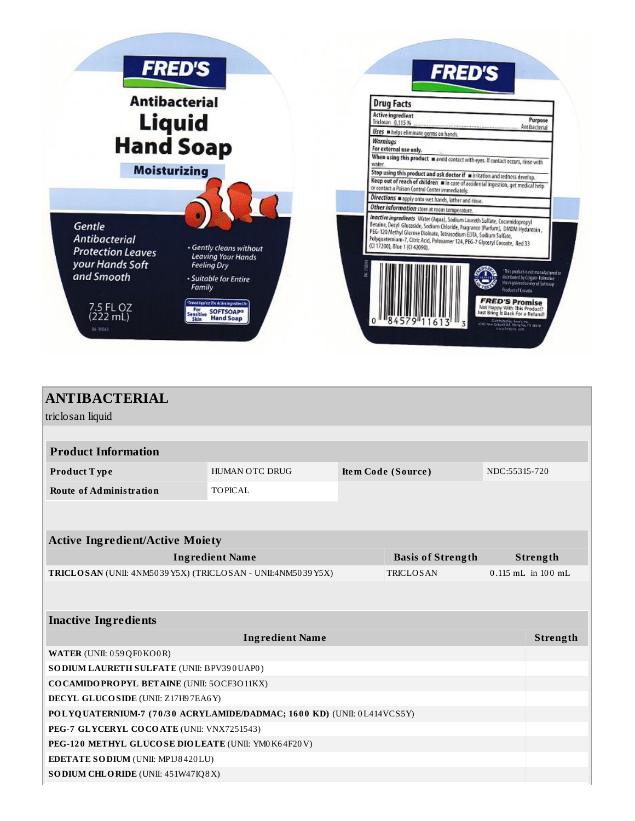

| <b>ANTIBACTERIAL</b>                                                           |                       |                    |                          |               |                    |  |  |  |  |
|--------------------------------------------------------------------------------|-----------------------|--------------------|--------------------------|---------------|--------------------|--|--|--|--|
| triclosan liquid                                                               |                       |                    |                          |               |                    |  |  |  |  |
|                                                                                |                       |                    |                          |               |                    |  |  |  |  |
| <b>Product Information</b>                                                     |                       |                    |                          |               |                    |  |  |  |  |
| Product Type                                                                   | <b>HUMAN OTC DRUG</b> | Item Code (Source) |                          | NDC:55315-720 |                    |  |  |  |  |
| <b>Route of Administration</b>                                                 | <b>TOPICAL</b>        |                    |                          |               |                    |  |  |  |  |
|                                                                                |                       |                    |                          |               |                    |  |  |  |  |
|                                                                                |                       |                    |                          |               |                    |  |  |  |  |
| <b>Active Ingredient/Active Moiety</b>                                         |                       |                    |                          |               |                    |  |  |  |  |
| <b>Ingredient Name</b>                                                         |                       |                    | <b>Basis of Strength</b> | Strength      |                    |  |  |  |  |
| TRICLOSAN (UNII: 4NM5039Y5X) (TRICLOSAN - UNII:4NM5039Y5X)<br><b>TRICLOSAN</b> |                       |                    |                          |               | 0.115 mL in 100 mL |  |  |  |  |
|                                                                                |                       |                    |                          |               |                    |  |  |  |  |
|                                                                                |                       |                    |                          |               |                    |  |  |  |  |
| <b>Inactive Ingredients</b>                                                    |                       |                    |                          |               |                    |  |  |  |  |
| <b>Ingredient Name</b>                                                         |                       |                    |                          |               |                    |  |  |  |  |
| WATER (UNII: 059 QF0 KO0 R)                                                    |                       |                    |                          |               |                    |  |  |  |  |
| SO DIUM LAURETH SULFATE (UNII: BPV390UAP0)                                     |                       |                    |                          |               |                    |  |  |  |  |
| COCAMIDOPROPYL BETAINE (UNII: 5OCF3011KX)                                      |                       |                    |                          |               |                    |  |  |  |  |
| DECYL GLUCOSIDE (UNII: Z17H97EA6Y)                                             |                       |                    |                          |               |                    |  |  |  |  |
| POLYQUATERNIUM-7 (70/30 ACRYLAMIDE/DADMAC; 1600 KD) (UNII: 0L414VCS5Y)         |                       |                    |                          |               |                    |  |  |  |  |
| PEG-7 GLYCERYL COCOATE (UNII: VNX7251543)                                      |                       |                    |                          |               |                    |  |  |  |  |
| PEG-120 METHYL GLUCOSE DIOLEATE (UNII: YM0K64F20V)                             |                       |                    |                          |               |                    |  |  |  |  |
| EDETATE SO DIUM (UNII: MP1J8420LU)                                             |                       |                    |                          |               |                    |  |  |  |  |
| SODIUM CHLORIDE (UNII: 451W47IQ8X)                                             |                       |                    |                          |               |                    |  |  |  |  |